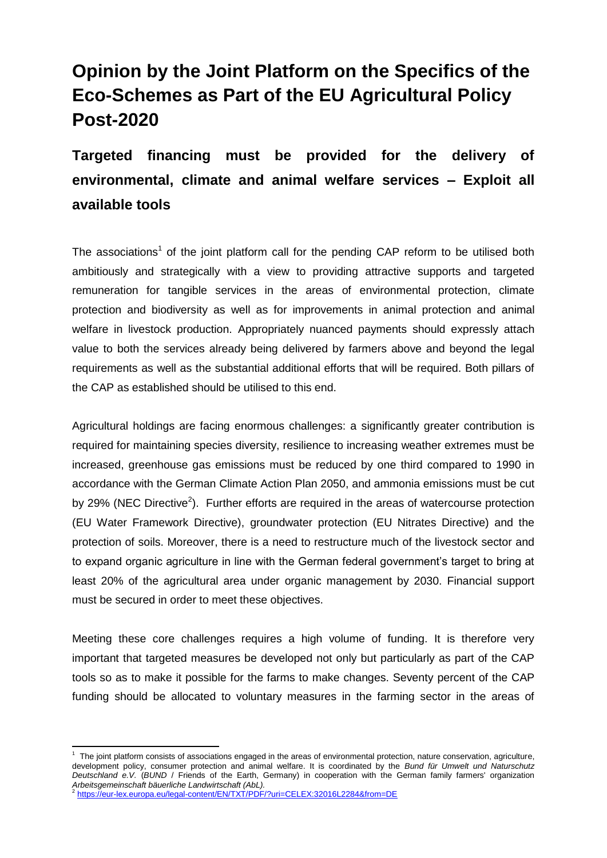# **Opinion by the Joint Platform on the Specifics of the Eco-Schemes as Part of the EU Agricultural Policy Post-2020**

**Targeted financing must be provided for the delivery of environmental, climate and animal welfare services – Exploit all available tools**

The associations<sup>1</sup> of the joint platform call for the pending CAP reform to be utilised both ambitiously and strategically with a view to providing attractive supports and targeted remuneration for tangible services in the areas of environmental protection, climate protection and biodiversity as well as for improvements in animal protection and animal welfare in livestock production. Appropriately nuanced payments should expressly attach value to both the services already being delivered by farmers above and beyond the legal requirements as well as the substantial additional efforts that will be required. Both pillars of the CAP as established should be utilised to this end.

Agricultural holdings are facing enormous challenges: a significantly greater contribution is required for maintaining species diversity, resilience to increasing weather extremes must be increased, greenhouse gas emissions must be reduced by one third compared to 1990 in accordance with the German Climate Action Plan 2050, and ammonia emissions must be cut by 29% (NEC Directive<sup>2</sup>). Further efforts are required in the areas of watercourse protection (EU Water Framework Directive), groundwater protection (EU Nitrates Directive) and the protection of soils. Moreover, there is a need to restructure much of the livestock sector and to expand organic agriculture in line with the German federal government's target to bring at least 20% of the agricultural area under organic management by 2030. Financial support must be secured in order to meet these objectives.

Meeting these core challenges requires a high volume of funding. It is therefore very important that targeted measures be developed not only but particularly as part of the CAP tools so as to make it possible for the farms to make changes. Seventy percent of the CAP funding should be allocated to voluntary measures in the farming sector in the areas of

**.** 

<sup>&</sup>lt;sup>1</sup> The joint platform consists of associations engaged in the areas of environmental protection, nature conservation, agriculture, development policy, consumer protection and animal welfare. It is coordinated by the *Bund für Umwelt und Naturschutz Deutschland e.V.* (*BUND* / Friends of the Earth, Germany) in cooperation with the German family farmers' organization

*Arbeitsgemeinschaft bäuerliche Landwirtschaft (AbL).* 2 <https://eur-lex.europa.eu/legal-content/EN/TXT/PDF/?uri=CELEX:32016L2284&from=DE>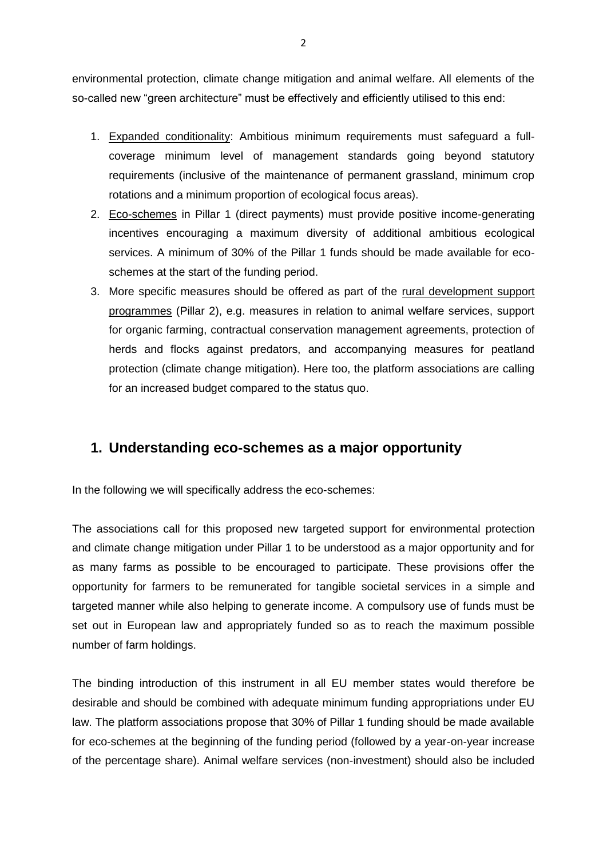environmental protection, climate change mitigation and animal welfare. All elements of the so-called new "green architecture" must be effectively and efficiently utilised to this end:

- 1. Expanded conditionality: Ambitious minimum requirements must safeguard a fullcoverage minimum level of management standards going beyond statutory requirements (inclusive of the maintenance of permanent grassland, minimum crop rotations and a minimum proportion of ecological focus areas).
- 2. Eco-schemes in Pillar 1 (direct payments) must provide positive income-generating incentives encouraging a maximum diversity of additional ambitious ecological services. A minimum of 30% of the Pillar 1 funds should be made available for ecoschemes at the start of the funding period.
- 3. More specific measures should be offered as part of the rural development support programmes (Pillar 2), e.g. measures in relation to animal welfare services, support for organic farming, contractual conservation management agreements, protection of herds and flocks against predators, and accompanying measures for peatland protection (climate change mitigation). Here too, the platform associations are calling for an increased budget compared to the status quo.

### **1. Understanding eco-schemes as a major opportunity**

In the following we will specifically address the eco-schemes:

The associations call for this proposed new targeted support for environmental protection and climate change mitigation under Pillar 1 to be understood as a major opportunity and for as many farms as possible to be encouraged to participate. These provisions offer the opportunity for farmers to be remunerated for tangible societal services in a simple and targeted manner while also helping to generate income. A compulsory use of funds must be set out in European law and appropriately funded so as to reach the maximum possible number of farm holdings.

The binding introduction of this instrument in all EU member states would therefore be desirable and should be combined with adequate minimum funding appropriations under EU law. The platform associations propose that 30% of Pillar 1 funding should be made available for eco-schemes at the beginning of the funding period (followed by a year-on-year increase of the percentage share). Animal welfare services (non-investment) should also be included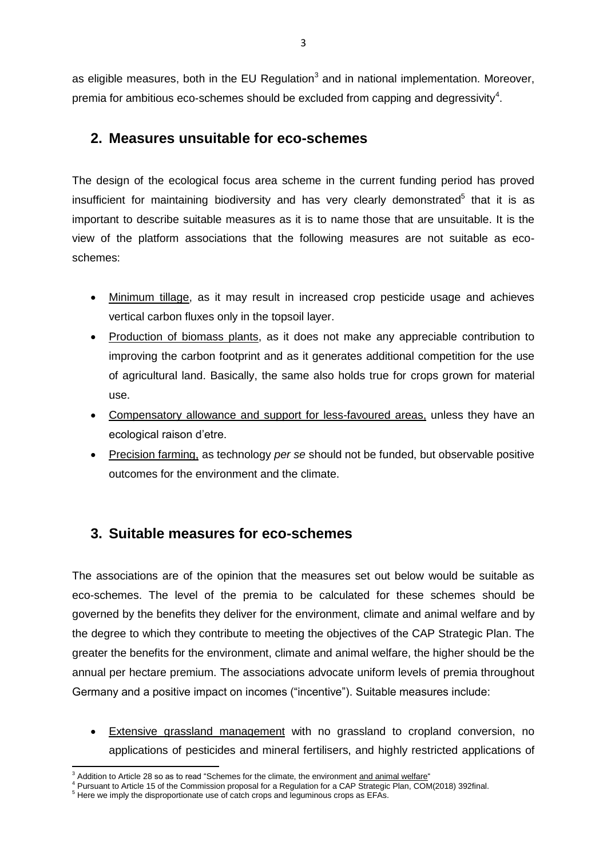as eligible measures, both in the EU Regulation<sup>3</sup> and in national implementation. Moreover, premia for ambitious eco-schemes should be excluded from capping and degressivity<sup>4</sup>.

### **2. Measures unsuitable for eco-schemes**

The design of the ecological focus area scheme in the current funding period has proved insufficient for maintaining biodiversity and has very clearly demonstrated $5$  that it is as important to describe suitable measures as it is to name those that are unsuitable. It is the view of the platform associations that the following measures are not suitable as ecoschemes:

- Minimum tillage, as it may result in increased crop pesticide usage and achieves vertical carbon fluxes only in the topsoil layer.
- Production of biomass plants, as it does not make any appreciable contribution to improving the carbon footprint and as it generates additional competition for the use of agricultural land. Basically, the same also holds true for crops grown for material use.
- Compensatory allowance and support for less-favoured areas, unless they have an ecological raison d'etre.
- Precision farming, as technology *per se* should not be funded, but observable positive outcomes for the environment and the climate.

## **3. Suitable measures for eco-schemes**

The associations are of the opinion that the measures set out below would be suitable as eco-schemes. The level of the premia to be calculated for these schemes should be governed by the benefits they deliver for the environment, climate and animal welfare and by the degree to which they contribute to meeting the objectives of the CAP Strategic Plan. The greater the benefits for the environment, climate and animal welfare, the higher should be the annual per hectare premium. The associations advocate uniform levels of premia throughout Germany and a positive impact on incomes ("incentive"). Suitable measures include:

 Extensive grassland management with no grassland to cropland conversion, no applications of pesticides and mineral fertilisers, and highly restricted applications of

<sup>1</sup> Addition to Article 28 so as to read "Schemes for the climate, the environment and animal welfare"

 $4$  Pursuant to Article 15 of the Commission proposal for a Regulation for a CAP Strategic Plan, COM(2018) 392final.

<sup>&</sup>lt;sup>5</sup> Here we imply the disproportionate use of catch crops and leguminous crops as EFAs.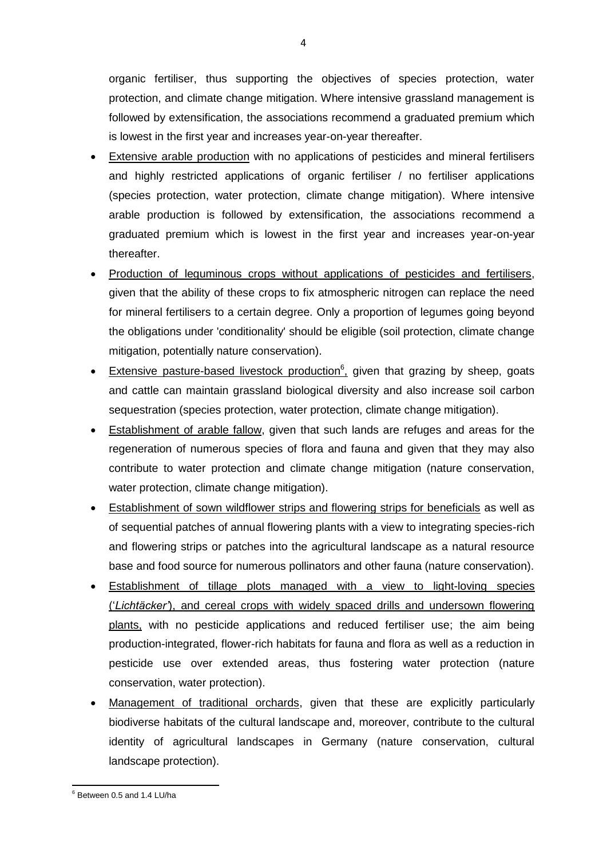organic fertiliser, thus supporting the objectives of species protection, water protection, and climate change mitigation. Where intensive grassland management is followed by extensification, the associations recommend a graduated premium which is lowest in the first year and increases year-on-year thereafter.

- Extensive arable production with no applications of pesticides and mineral fertilisers and highly restricted applications of organic fertiliser / no fertiliser applications (species protection, water protection, climate change mitigation). Where intensive arable production is followed by extensification, the associations recommend a graduated premium which is lowest in the first year and increases year-on-year thereafter.
- Production of leguminous crops without applications of pesticides and fertilisers, given that the ability of these crops to fix atmospheric nitrogen can replace the need for mineral fertilisers to a certain degree. Only a proportion of legumes going beyond the obligations under 'conditionality' should be eligible (soil protection, climate change mitigation, potentially nature conservation).
- Extensive pasture-based livestock production<sup>6</sup>, given that grazing by sheep, goats and cattle can maintain grassland biological diversity and also increase soil carbon sequestration (species protection, water protection, climate change mitigation).
- Establishment of arable fallow, given that such lands are refuges and areas for the regeneration of numerous species of flora and fauna and given that they may also contribute to water protection and climate change mitigation (nature conservation, water protection, climate change mitigation).
- Establishment of sown wildflower strips and flowering strips for beneficials as well as of sequential patches of annual flowering plants with a view to integrating species-rich and flowering strips or patches into the agricultural landscape as a natural resource base and food source for numerous pollinators and other fauna (nature conservation).
- Establishment of tillage plots managed with a view to light-loving species ('*Lichtäcker'*), and cereal crops with widely spaced drills and undersown flowering plants, with no pesticide applications and reduced fertiliser use; the aim being production-integrated, flower-rich habitats for fauna and flora as well as a reduction in pesticide use over extended areas, thus fostering water protection (nature conservation, water protection).
- Management of traditional orchards, given that these are explicitly particularly biodiverse habitats of the cultural landscape and, moreover, contribute to the cultural identity of agricultural landscapes in Germany (nature conservation, cultural landscape protection).

**<sup>.</sup>**  $6$  Between 0.5 and 1.4 LU/ha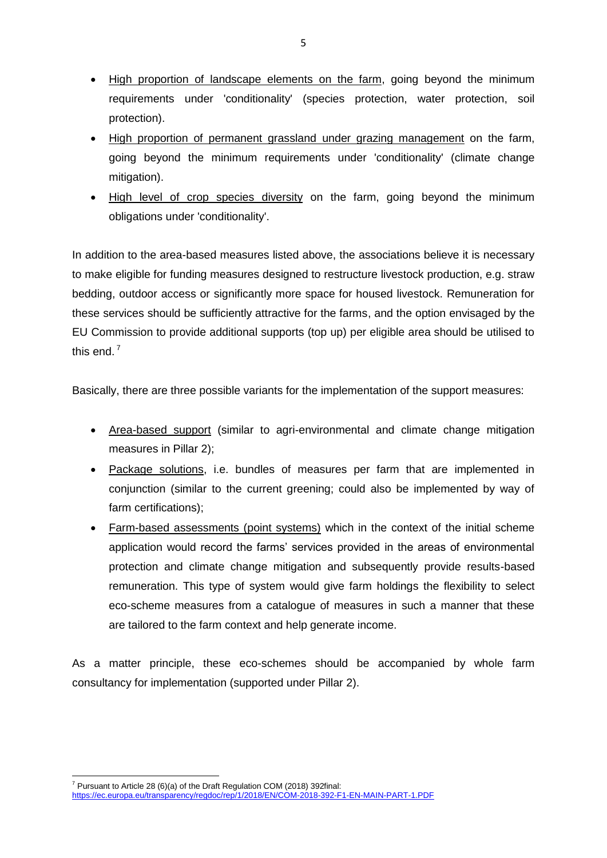- High proportion of landscape elements on the farm, going beyond the minimum requirements under 'conditionality' (species protection, water protection, soil protection).
- High proportion of permanent grassland under grazing management on the farm, going beyond the minimum requirements under 'conditionality' (climate change mitigation).
- High level of crop species diversity on the farm, going beyond the minimum obligations under 'conditionality'.

In addition to the area-based measures listed above, the associations believe it is necessary to make eligible for funding measures designed to restructure livestock production, e.g. straw bedding, outdoor access or significantly more space for housed livestock. Remuneration for these services should be sufficiently attractive for the farms, and the option envisaged by the EU Commission to provide additional supports (top up) per eligible area should be utilised to this end.<sup>7</sup>

Basically, there are three possible variants for the implementation of the support measures:

- Area-based support (similar to agri-environmental and climate change mitigation measures in Pillar 2);
- Package solutions, i.e. bundles of measures per farm that are implemented in conjunction (similar to the current greening; could also be implemented by way of farm certifications);
- Farm-based assessments (point systems) which in the context of the initial scheme application would record the farms' services provided in the areas of environmental protection and climate change mitigation and subsequently provide results-based remuneration. This type of system would give farm holdings the flexibility to select eco-scheme measures from a catalogue of measures in such a manner that these are tailored to the farm context and help generate income.

As a matter principle, these eco-schemes should be accompanied by whole farm consultancy for implementation (supported under Pillar 2).

**.** 

 $7$  Pursuant to Article 28 (6)(a) of the Draft Regulation COM (2018) 392final:

<https://ec.europa.eu/transparency/regdoc/rep/1/2018/EN/COM-2018-392-F1-EN-MAIN-PART-1.PDF>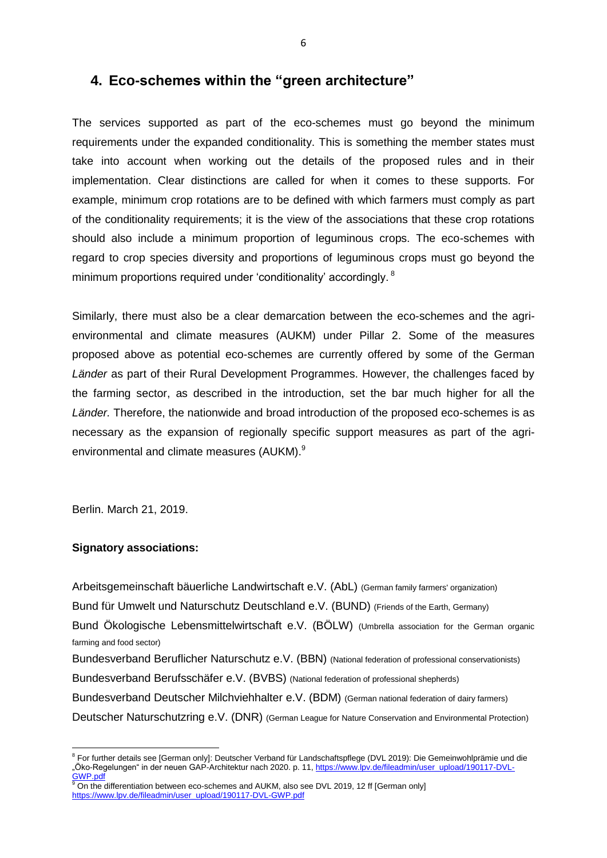### **4. Eco-schemes within the "green architecture"**

The services supported as part of the eco-schemes must go beyond the minimum requirements under the expanded conditionality. This is something the member states must take into account when working out the details of the proposed rules and in their implementation. Clear distinctions are called for when it comes to these supports. For example, minimum crop rotations are to be defined with which farmers must comply as part of the conditionality requirements; it is the view of the associations that these crop rotations should also include a minimum proportion of leguminous crops. The eco-schemes with regard to crop species diversity and proportions of leguminous crops must go beyond the minimum proportions required under 'conditionality' accordingly. <sup>8</sup>

Similarly, there must also be a clear demarcation between the eco-schemes and the agrienvironmental and climate measures (AUKM) under Pillar 2. Some of the measures proposed above as potential eco-schemes are currently offered by some of the German *Länder* as part of their Rural Development Programmes. However, the challenges faced by the farming sector, as described in the introduction, set the bar much higher for all the *Länder.* Therefore, the nationwide and broad introduction of the proposed eco-schemes is as necessary as the expansion of regionally specific support measures as part of the agrienvironmental and climate measures (AUKM).<sup>9</sup>

Berlin. March 21, 2019.

#### **Signatory associations:**

Arbeitsgemeinschaft bäuerliche Landwirtschaft e.V. (AbL) (German family farmers' organization) Bund für Umwelt und Naturschutz Deutschland e.V. (BUND) (Friends of the Earth, Germany) Bund Ökologische Lebensmittelwirtschaft e.V. (BÖLW) (Umbrella association for the German organic farming and food sector) Bundesverband Beruflicher Naturschutz e.V. (BBN) (National federation of professional conservationists) Bundesverband Berufsschäfer e.V. (BVBS) (National federation of professional shepherds) Bundesverband Deutscher Milchviehhalter e.V. (BDM) (German national federation of dairy farmers) Deutscher Naturschutzring e.V. (DNR) (German League for Nature Conservation and Environmental Protection)

 $\overline{a}$ <sup>8</sup> For further details see [German only]: Deutscher Verband für Landschaftspflege (DVL 2019): Die Gemeinwohlprämie und die "Öko-Regelungen" in der neuen GAP-Architektur nach 2020. p. 11[, https://www.lpv.de/fileadmin/user\\_upload/190117-DVL-](https://www.lpv.de/fileadmin/user_upload/190117-DVL-GWP.pdf) $GWP.pdf$ 

On the differentiation between eco-schemes and AUKM, also see DVL 2019, 12 ff [German only] [https://www.lpv.de/fileadmin/user\\_upload/190117-DVL-GWP.pdf](https://www.lpv.de/fileadmin/user_upload/190117-DVL-GWP.pdf)